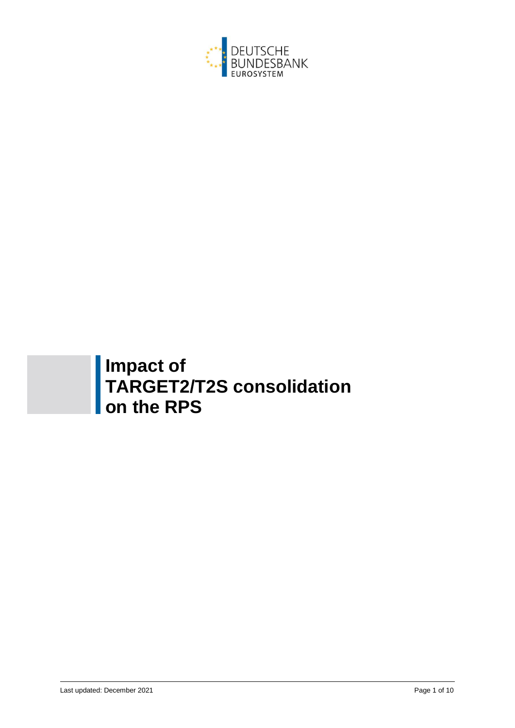

# **Impact of TARGET2/T2S consolidation on the RPS**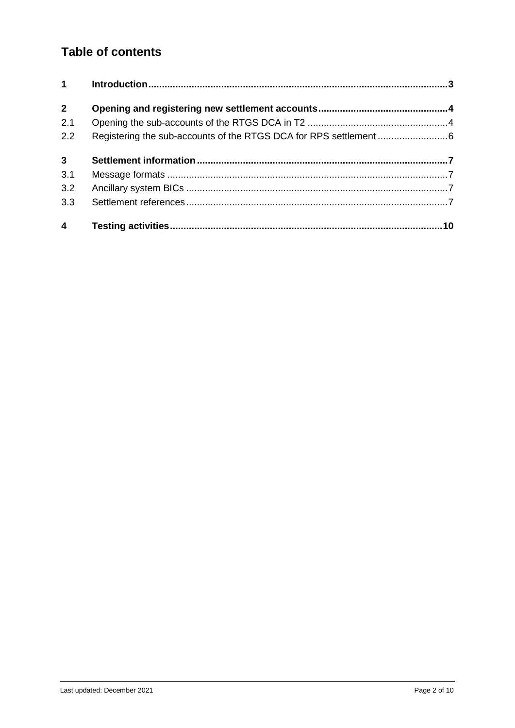# **Table of contents**

| $\mathbf 1$             |  |
|-------------------------|--|
| $\overline{2}$          |  |
| 2.1                     |  |
| 2.2                     |  |
| $\mathbf{3}$            |  |
| 3.1                     |  |
| 3.2                     |  |
| 3.3                     |  |
| $\overline{\mathbf{4}}$ |  |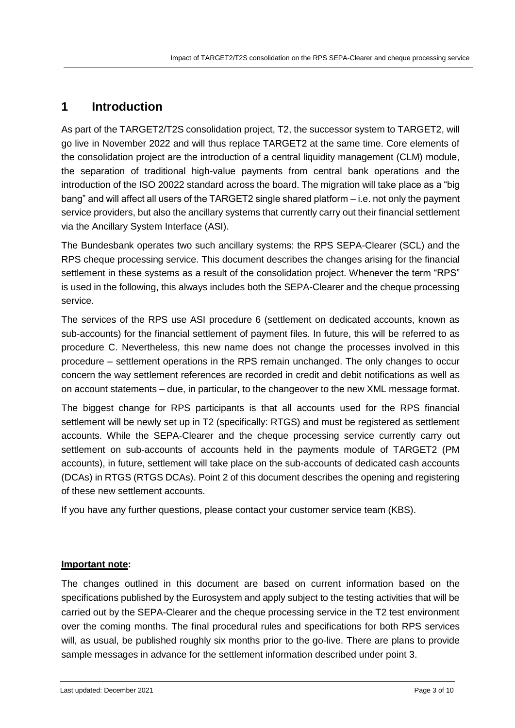# **1 Introduction**

As part of the TARGET2/T2S consolidation project, T2, the successor system to TARGET2, will go live in November 2022 and will thus replace TARGET2 at the same time. Core elements of the consolidation project are the introduction of a central liquidity management (CLM) module, the separation of traditional high-value payments from central bank operations and the introduction of the ISO 20022 standard across the board. The migration will take place as a "big bang" and will affect all users of the TARGET2 single shared platform – i.e. not only the payment service providers, but also the ancillary systems that currently carry out their financial settlement via the Ancillary System Interface (ASI).

The Bundesbank operates two such ancillary systems: the RPS SEPA-Clearer (SCL) and the RPS cheque processing service. This document describes the changes arising for the financial settlement in these systems as a result of the consolidation project. Whenever the term "RPS" is used in the following, this always includes both the SEPA-Clearer and the cheque processing service.

The services of the RPS use ASI procedure 6 (settlement on dedicated accounts, known as sub-accounts) for the financial settlement of payment files. In future, this will be referred to as procedure C. Nevertheless, this new name does not change the processes involved in this procedure – settlement operations in the RPS remain unchanged. The only changes to occur concern the way settlement references are recorded in credit and debit notifications as well as on account statements – due, in particular, to the changeover to the new XML message format.

The biggest change for RPS participants is that all accounts used for the RPS financial settlement will be newly set up in T2 (specifically: RTGS) and must be registered as settlement accounts. While the SEPA-Clearer and the cheque processing service currently carry out settlement on sub-accounts of accounts held in the payments module of TARGET2 (PM accounts), in future, settlement will take place on the sub-accounts of dedicated cash accounts (DCAs) in RTGS (RTGS DCAs). Point 2 of this document describes the opening and registering of these new settlement accounts.

If you have any further questions, please contact your customer service team (KBS).

#### **Important note:**

The changes outlined in this document are based on current information based on the specifications published by the Eurosystem and apply subject to the testing activities that will be carried out by the SEPA-Clearer and the cheque processing service in the T2 test environment over the coming months. The final procedural rules and specifications for both RPS services will, as usual, be published roughly six months prior to the go-live. There are plans to provide sample messages in advance for the settlement information described under point 3.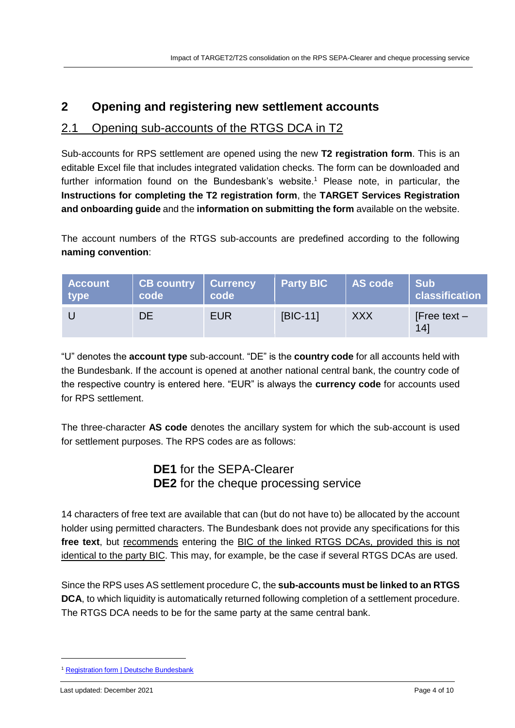## **2 Opening and registering new settlement accounts**

## 2.1 Opening sub-accounts of the RTGS DCA in T2

Sub-accounts for RPS settlement are opened using the new **T2 registration form**. This is an editable Excel file that includes integrated validation checks. The form can be downloaded and further information found on the Bundesbank's website.<sup>1</sup> Please note, in particular, the **Instructions for completing the T2 registration form**, the **TARGET Services Registration and onboarding guide** and the **information on submitting the form** available on the website.

The account numbers of the RTGS sub-accounts are predefined according to the following **naming convention**:

| <b>Account</b><br>type | <b>CB country Currency</b><br>code | code       | <b>Party BIC</b> | AS code    | <b>Sub</b><br>classification |
|------------------------|------------------------------------|------------|------------------|------------|------------------------------|
|                        | DE.                                | <b>EUR</b> | [BIC-11]         | <b>XXX</b> | [Free text $-$<br>14         |

"U" denotes the **account type** sub-account. "DE" is the **country code** for all accounts held with the Bundesbank. If the account is opened at another national central bank, the country code of the respective country is entered here. "EUR" is always the **currency code** for accounts used for RPS settlement.

The three-character **AS code** denotes the ancillary system for which the sub-account is used for settlement purposes. The RPS codes are as follows:

### **DE1** for the SEPA-Clearer **DE2** for the cheque processing service

14 characters of free text are available that can (but do not have to) be allocated by the account holder using permitted characters. The Bundesbank does not provide any specifications for this **free text**, but recommends entering the BIC of the linked RTGS DCAs, provided this is not identical to the party BIC. This may, for example, be the case if several RTGS DCAs are used.

Since the RPS uses AS settlement procedure C, the **sub-accounts must be linked to an RTGS DCA**, to which liquidity is automatically returned following completion of a settlement procedure. The RTGS DCA needs to be for the same party at the same central bank.

<sup>1</sup> [Registration form | Deutsche Bundesbank](https://www.bundesbank.de/en/tasks/payment-systems/target2-t2s-consolidation/registration-form-877126)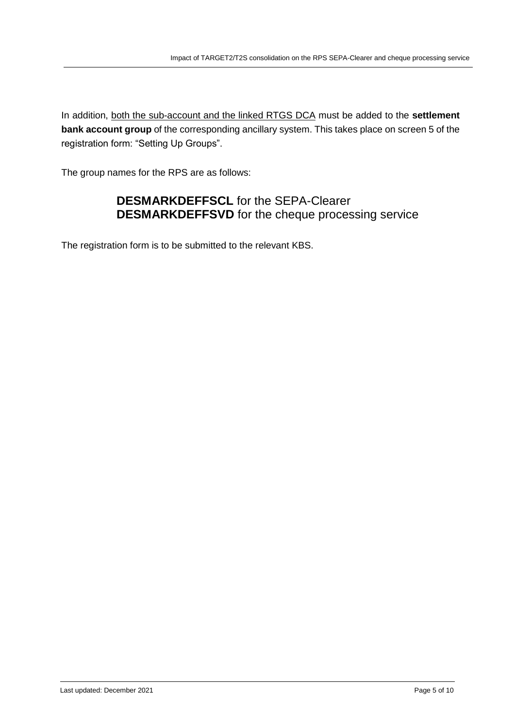In addition, both the sub-account and the linked RTGS DCA must be added to the **settlement bank account group** of the corresponding ancillary system. This takes place on screen 5 of the registration form: "Setting Up Groups".

The group names for the RPS are as follows:

## **DESMARKDEFFSCL** for the SEPA-Clearer **DESMARKDEFFSVD** for the cheque processing service

The registration form is to be submitted to the relevant KBS.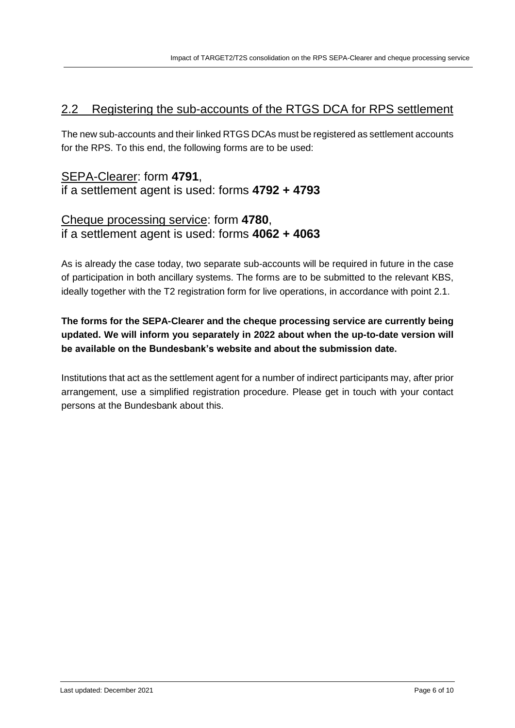## 2.2 Registering the sub-accounts of the RTGS DCA for RPS settlement

The new sub-accounts and their linked RTGS DCAs must be registered as settlement accounts for the RPS. To this end, the following forms are to be used:

## SEPA-Clearer: form **4791**, if a settlement agent is used: forms **4792 + 4793**

#### Cheque processing service: form **4780**, if a settlement agent is used: forms **4062 + 4063**

As is already the case today, two separate sub-accounts will be required in future in the case of participation in both ancillary systems. The forms are to be submitted to the relevant KBS, ideally together with the T2 registration form for live operations, in accordance with point 2.1.

#### **The forms for the SEPA-Clearer and the cheque processing service are currently being updated. We will inform you separately in 2022 about when the up-to-date version will be available on the Bundesbank's website and about the submission date.**

Institutions that act as the settlement agent for a number of indirect participants may, after prior arrangement, use a simplified registration procedure. Please get in touch with your contact persons at the Bundesbank about this.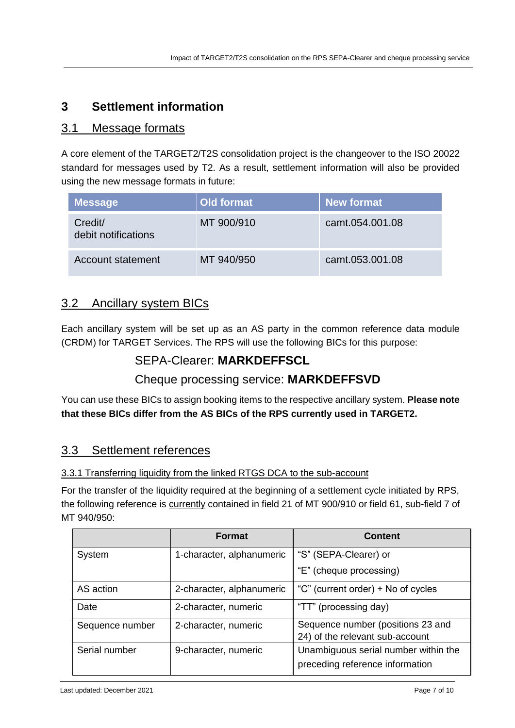## **3 Settlement information**

#### 3.1 Message formats

A core element of the TARGET2/T2S consolidation project is the changeover to the ISO 20022 standard for messages used by T2. As a result, settlement information will also be provided using the new message formats in future:

| <b>Message</b>                 | Old format | <b>New format</b> |
|--------------------------------|------------|-------------------|
| Credit/<br>debit notifications | MT 900/910 | camt.054.001.08   |
| Account statement              | MT 940/950 | camt.053.001.08   |

## 3.2 Ancillary system BICs

Each ancillary system will be set up as an AS party in the common reference data module (CRDM) for TARGET Services. The RPS will use the following BICs for this purpose:

### SEPA-Clearer: **MARKDEFFSCL**

# Cheque processing service: **MARKDEFFSVD**

You can use these BICs to assign booking items to the respective ancillary system. **Please note that these BICs differ from the AS BICs of the RPS currently used in TARGET2.**

### 3.3 Settlement references

#### 3.3.1 Transferring liquidity from the linked RTGS DCA to the sub-account

For the transfer of the liquidity required at the beginning of a settlement cycle initiated by RPS, the following reference is **currently** contained in field 21 of MT 900/910 or field 61, sub-field 7 of MT 940/950:

|                 | <b>Format</b>             | <b>Content</b>                                                          |
|-----------------|---------------------------|-------------------------------------------------------------------------|
| System          | 1-character, alphanumeric | "S" (SEPA-Clearer) or                                                   |
|                 |                           | "E" (cheque processing)                                                 |
| AS action       | 2-character, alphanumeric | "C" (current order) + No of cycles                                      |
| Date            | 2-character, numeric      | "TT" (processing day)                                                   |
| Sequence number | 2-character, numeric      | Sequence number (positions 23 and<br>24) of the relevant sub-account    |
| Serial number   | 9-character, numeric      | Unambiguous serial number within the<br>preceding reference information |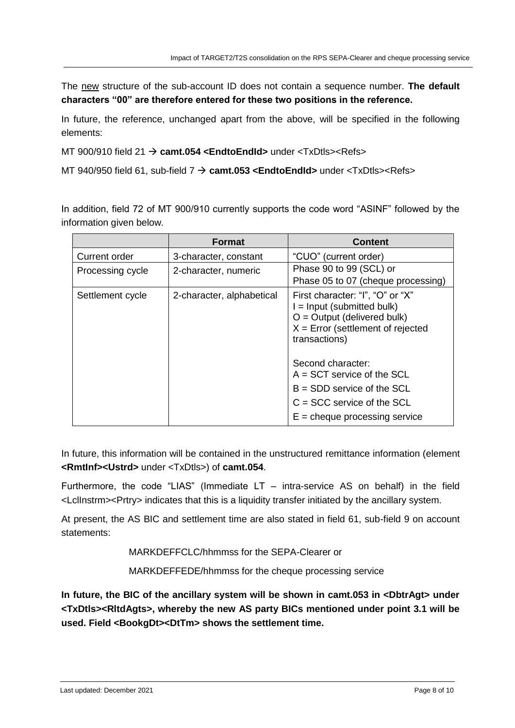The new structure of the sub-account ID does not contain a sequence number. **The default characters "00" are therefore entered for these two positions in the reference.**

In future, the reference, unchanged apart from the above, will be specified in the following elements:

MT 900/910 field 21 **camt.054 <EndtoEndId>** under <TxDtls><Refs>

MT 940/950 field 61, sub-field 7 **camt.053 <EndtoEndId>** under <TxDtls><Refs>

In addition, field 72 of MT 900/910 currently supports the code word "ASINF" followed by the information given below.

|                      | <b>Format</b>             | <b>Content</b>                                                                                                                                            |
|----------------------|---------------------------|-----------------------------------------------------------------------------------------------------------------------------------------------------------|
| <b>Current order</b> | 3-character, constant     | "CUO" (current order)                                                                                                                                     |
| Processing cycle     | 2-character, numeric      | Phase 90 to 99 (SCL) or                                                                                                                                   |
|                      |                           | Phase 05 to 07 (cheque processing)                                                                                                                        |
| Settlement cycle     | 2-character, alphabetical | First character: "I", "O" or "X"<br>$I =$ Input (submitted bulk)<br>$O =$ Output (delivered bulk)<br>$X =$ Error (settlement of rejected<br>transactions) |
|                      |                           | Second character:                                                                                                                                         |
|                      |                           | $A = SCT$ service of the SCL                                                                                                                              |
|                      |                           | $B = SDD$ service of the SCL                                                                                                                              |
|                      |                           | $C = SCC$ service of the SCL                                                                                                                              |
|                      |                           | $E =$ cheque processing service                                                                                                                           |

In future, this information will be contained in the unstructured remittance information (element **<RmtInf><Ustrd>** under <TxDtls>) of **camt.054**.

Furthermore, the code "LIAS" (Immediate  $LT -$  intra-service AS on behalf) in the field <LclInstrm><Prtry> indicates that this is a liquidity transfer initiated by the ancillary system.

At present, the AS BIC and settlement time are also stated in field 61, sub-field 9 on account statements:

MARKDEFFCLC/hhmmss for the SEPA-Clearer or

MARKDEFFEDE/hhmmss for the cheque processing service

In future, the BIC of the ancillary system will be shown in camt.053 in <DbtrAgt> under **<TxDtls><RltdAgts>, whereby the new AS party BICs mentioned under point 3.1 will be used. Field <BookgDt><DtTm> shows the settlement time.**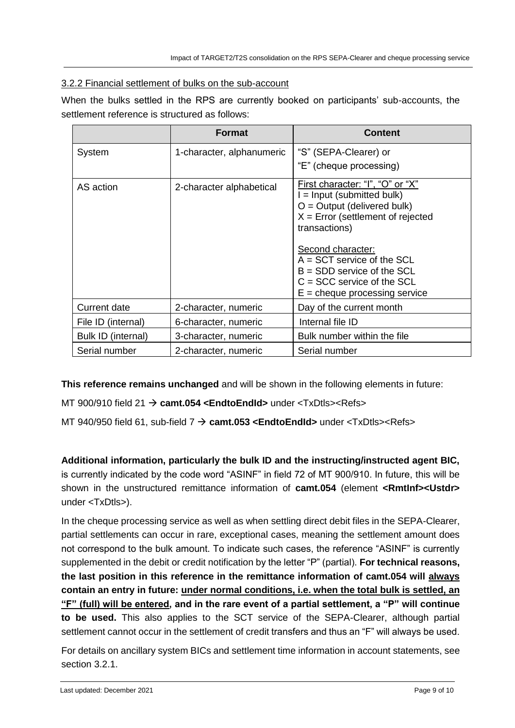#### 3.2.2 Financial settlement of bulks on the sub-account

When the bulks settled in the RPS are currently booked on participants' sub-accounts, the settlement reference is structured as follows:

|                     | <b>Format</b>             | <b>Content</b>                                                                                                                                                                                                                                                                                                    |
|---------------------|---------------------------|-------------------------------------------------------------------------------------------------------------------------------------------------------------------------------------------------------------------------------------------------------------------------------------------------------------------|
| System              | 1-character, alphanumeric | "S" (SEPA-Clearer) or<br>"E" (cheque processing)                                                                                                                                                                                                                                                                  |
| AS action           | 2-character alphabetical  | First character: "I", "O" or "X"<br>$I =$ Input (submitted bulk)<br>$O =$ Output (delivered bulk)<br>$X =$ Error (settlement of rejected<br>transactions)<br>Second character:<br>$A = SCT$ service of the SCL<br>$B = SDD$ service of the SCL<br>$C = SCC$ service of the SCL<br>$E =$ cheque processing service |
| <b>Current date</b> | 2-character, numeric      | Day of the current month                                                                                                                                                                                                                                                                                          |
| File ID (internal)  | 6-character, numeric      | Internal file ID                                                                                                                                                                                                                                                                                                  |
| Bulk ID (internal)  | 3-character, numeric      | Bulk number within the file                                                                                                                                                                                                                                                                                       |
| Serial number       | 2-character, numeric      | Serial number                                                                                                                                                                                                                                                                                                     |

**This reference remains unchanged** and will be shown in the following elements in future:

MT 900/910 field 21 **camt.054 <EndtoEndId>** under <TxDtls><Refs>

MT 940/950 field 61, sub-field 7 **camt.053 <EndtoEndId>** under <TxDtls><Refs>

**Additional information, particularly the bulk ID and the instructing/instructed agent BIC,** is currently indicated by the code word "ASINF" in field 72 of MT 900/910. In future, this will be shown in the unstructured remittance information of **camt.054** (element **<RmtInf><Ustdr>**  under <TxDtls>).

In the cheque processing service as well as when settling direct debit files in the SEPA-Clearer, partial settlements can occur in rare, exceptional cases, meaning the settlement amount does not correspond to the bulk amount. To indicate such cases, the reference "ASINF" is currently supplemented in the debit or credit notification by the letter "P" (partial). **For technical reasons, the last position in this reference in the remittance information of camt.054 will always contain an entry in future: under normal conditions, i.e. when the total bulk is settled, an "F" (full) will be entered, and in the rare event of a partial settlement, a "P" will continue to be used.** This also applies to the SCT service of the SEPA-Clearer, although partial settlement cannot occur in the settlement of credit transfers and thus an "F" will always be used.

For details on ancillary system BICs and settlement time information in account statements, see section 3.2.1.